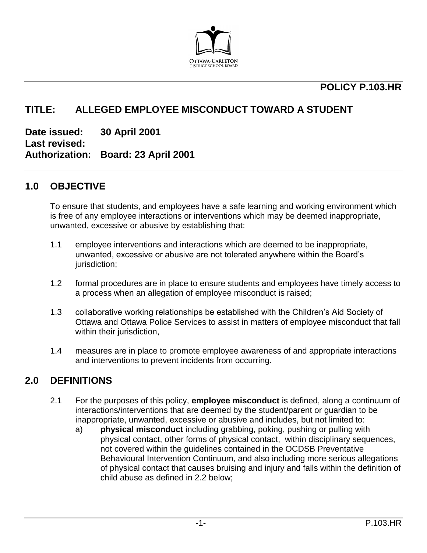

## **POLICY P.103.HR**

## **TITLE: ALLEGED EMPLOYEE MISCONDUCT TOWARD A STUDENT**

**Date issued: 30 April 2001 Last revised: Authorization: Board: 23 April 2001**

#### **1.0 OBJECTIVE**

To ensure that students, and employees have a safe learning and working environment which is free of any employee interactions or interventions which may be deemed inappropriate, unwanted, excessive or abusive by establishing that:

- 1.1 employee interventions and interactions which are deemed to be inappropriate, unwanted, excessive or abusive are not tolerated anywhere within the Board's jurisdiction;
- 1.2 formal procedures are in place to ensure students and employees have timely access to a process when an allegation of employee misconduct is raised;
- 1.3 collaborative working relationships be established with the Children's Aid Society of Ottawa and Ottawa Police Services to assist in matters of employee misconduct that fall within their jurisdiction,
- 1.4 measures are in place to promote employee awareness of and appropriate interactions and interventions to prevent incidents from occurring.

#### **2.0 DEFINITIONS**

- 2.1 For the purposes of this policy, **employee misconduct** is defined, along a continuum of interactions/interventions that are deemed by the student/parent or guardian to be inappropriate, unwanted, excessive or abusive and includes, but not limited to:
	- a) **physical misconduct** including grabbing, poking, pushing or pulling with physical contact, other forms of physical contact, within disciplinary sequences, not covered within the guidelines contained in the OCDSB Preventative Behavioural Intervention Continuum, and also including more serious allegations of physical contact that causes bruising and injury and falls within the definition of child abuse as defined in 2.2 below;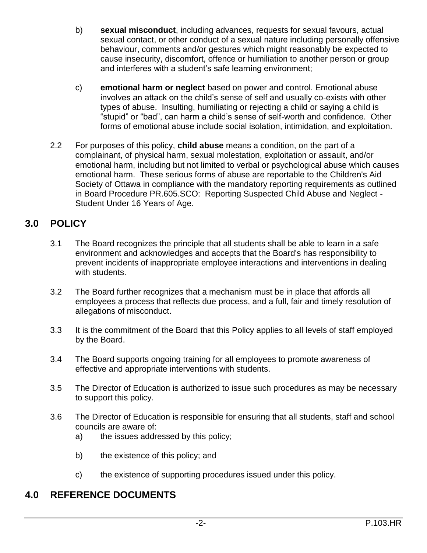- b) **sexual misconduct**, including advances, requests for sexual favours, actual sexual contact, or other conduct of a sexual nature including personally offensive behaviour, comments and/or gestures which might reasonably be expected to cause insecurity, discomfort, offence or humiliation to another person or group and interferes with a student's safe learning environment;
- c) **emotional harm or neglect** based on power and control. Emotional abuse involves an attack on the child's sense of self and usually co-exists with other types of abuse. Insulting, humiliating or rejecting a child or saying a child is "stupid" or "bad", can harm a child's sense of self-worth and confidence. Other forms of emotional abuse include social isolation, intimidation, and exploitation.
- 2.2 For purposes of this policy, **child abuse** means a condition, on the part of a complainant, of physical harm, sexual molestation, exploitation or assault, and/or emotional harm, including but not limited to verbal or psychological abuse which causes emotional harm. These serious forms of abuse are reportable to the Children's Aid Society of Ottawa in compliance with the mandatory reporting requirements as outlined in Board Procedure PR.605.SCO: Reporting Suspected Child Abuse and Neglect - Student Under 16 Years of Age.

# **3.0 POLICY**

- 3.1 The Board recognizes the principle that all students shall be able to learn in a safe environment and acknowledges and accepts that the Board's has responsibility to prevent incidents of inappropriate employee interactions and interventions in dealing with students.
- 3.2 The Board further recognizes that a mechanism must be in place that affords all employees a process that reflects due process, and a full, fair and timely resolution of allegations of misconduct.
- 3.3 It is the commitment of the Board that this Policy applies to all levels of staff employed by the Board.
- 3.4 The Board supports ongoing training for all employees to promote awareness of effective and appropriate interventions with students.
- 3.5 The Director of Education is authorized to issue such procedures as may be necessary to support this policy.
- 3.6 The Director of Education is responsible for ensuring that all students, staff and school councils are aware of:
	- a) the issues addressed by this policy;
	- b) the existence of this policy; and
	- c) the existence of supporting procedures issued under this policy.

## **4.0 REFERENCE DOCUMENTS**